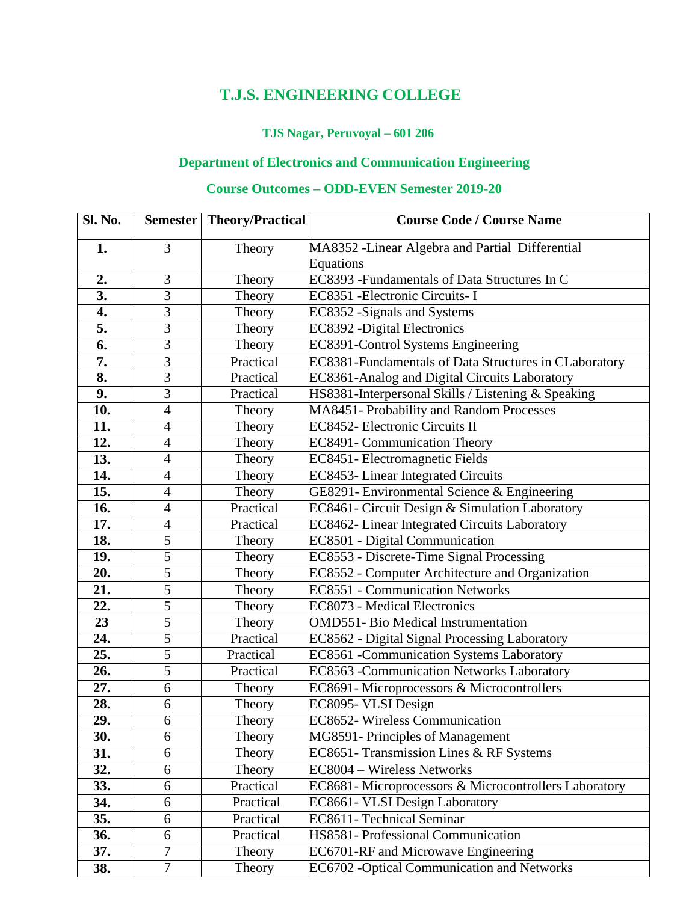## **T.J.S. ENGINEERING COLLEGE**

#### **TJS Nagar, Peruvoyal – 601 206**

#### **Department of Electronics and Communication Engineering**

#### **Course Outcomes – ODD-EVEN Semester 2019-20**

| <b>Sl. No.</b>    |                          | <b>Semester Theory/Practical</b> | <b>Course Code / Course Name</b>                             |
|-------------------|--------------------------|----------------------------------|--------------------------------------------------------------|
| 1.                | 3                        | Theory                           | MA8352 - Linear Algebra and Partial Differential             |
|                   |                          |                                  | Equations                                                    |
| 2.                | 3                        | Theory                           | EC8393 - Fundamentals of Data Structures In C                |
| $\overline{3}$ .  | $\overline{3}$           | Theory                           | EC8351 - Electronic Circuits - I                             |
| 4.                | $\overline{3}$           | Theory                           | EC8352 - Signals and Systems                                 |
| 5.                | 3                        | Theory                           | <b>EC8392</b> - Digital Electronics                          |
| 6.                | 3                        | Theory                           | <b>EC8391-Control Systems Engineering</b>                    |
| 7.                | 3                        | Practical                        | <b>EC8381-Fundamentals of Data Structures in CLaboratory</b> |
| 8.                | $\overline{3}$           | Practical                        | EC8361-Analog and Digital Circuits Laboratory                |
| 9.                | 3                        | Practical                        | HS8381-Interpersonal Skills / Listening & Speaking           |
| 10.               | $\overline{4}$           | Theory                           | MA8451- Probability and Random Processes                     |
| 11.               | 4                        | Theory                           | <b>EC8452- Electronic Circuits II</b>                        |
| 12.               | $\overline{4}$           | Theory                           | EC8491- Communication Theory                                 |
| 13.               | $\overline{\mathcal{L}}$ | Theory                           | EC8451- Electromagnetic Fields                               |
| 14.               | $\overline{4}$           | Theory                           | EC8453- Linear Integrated Circuits                           |
| 15.               | $\overline{4}$           | Theory                           | GE8291- Environmental Science & Engineering                  |
| 16.               | 4                        | Practical                        | EC8461- Circuit Design & Simulation Laboratory               |
| 17.               | $\overline{4}$           | Practical                        | EC8462- Linear Integrated Circuits Laboratory                |
| 18.               | 5                        | Theory                           | EC8501 - Digital Communication                               |
| 19.               | $\overline{5}$           | Theory                           | EC8553 - Discrete-Time Signal Processing                     |
| 20.               | $\overline{5}$           | Theory                           | EC8552 - Computer Architecture and Organization              |
| $\overline{21}$ . | $\overline{5}$           | Theory                           | <b>EC8551 - Communication Networks</b>                       |
| 22.               | $\overline{5}$           | Theory                           | <b>EC8073 - Medical Electronics</b>                          |
| 23                | $\overline{5}$           | Theory                           | <b>OMD551- Bio Medical Instrumentation</b>                   |
| 24.               | $\overline{5}$           | Practical                        | EC8562 - Digital Signal Processing Laboratory                |
| 25.               | $\overline{5}$           | Practical                        | EC8561 - Communication Systems Laboratory                    |
| 26.               | $\overline{5}$           | Practical                        | EC8563 - Communication Networks Laboratory                   |
| 27.               | $\overline{6}$           | Theory                           | EC8691-Microprocessors & Microcontrollers                    |
| 28.               | 6                        | Theory                           | EC8095- VLSI Design                                          |
| 29.               | 6                        | Theory                           | EC8652- Wireless Communication                               |
| 30.               | 6                        | Theory                           | MG8591- Principles of Management                             |
| 31.               | 6                        | Theory                           | EC8651- Transmission Lines & RF Systems                      |
| 32.               | 6                        | Theory                           | EC8004 - Wireless Networks                                   |
| 33.               | 6                        | Practical                        | EC8681- Microprocessors & Microcontrollers Laboratory        |
| 34.               | $\boldsymbol{6}$         | Practical                        | EC8661- VLSI Design Laboratory                               |
| 35.               | 6                        | Practical                        | <b>EC8611- Technical Seminar</b>                             |
| 36.               | 6                        | Practical                        | HS8581- Professional Communication                           |
| 37.               | 7                        | Theory                           | EC6701-RF and Microwave Engineering                          |
| 38.               | $\tau$                   | Theory                           | EC6702 - Optical Communication and Networks                  |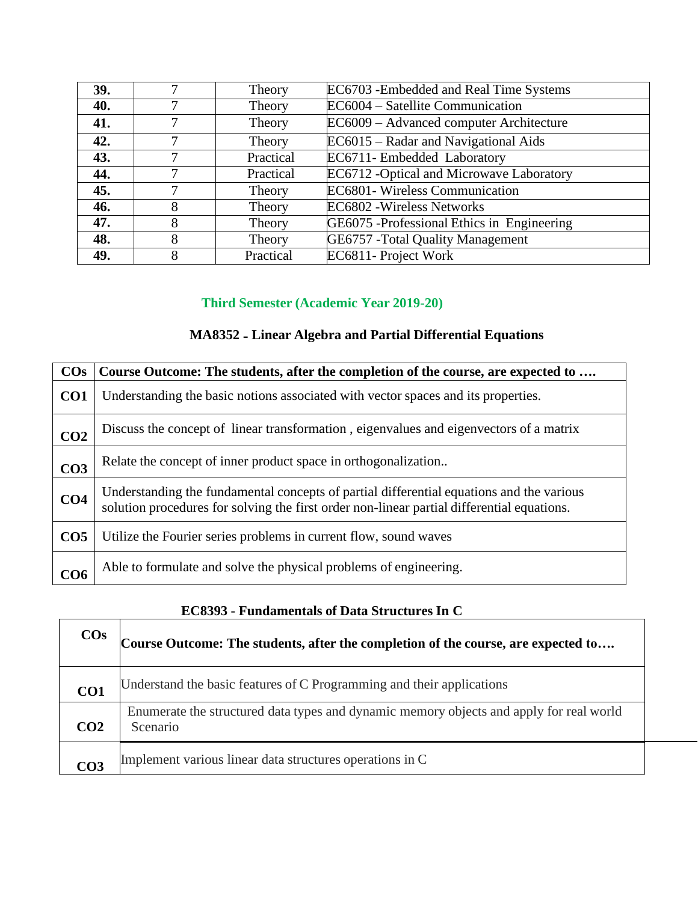| 39. |   | Theory    | EC6703 - Embedded and Real Time Systems     |
|-----|---|-----------|---------------------------------------------|
| 40. |   | Theory    | EC6004 - Satellite Communication            |
| 41. |   | Theory    | EC6009 – Advanced computer Architecture     |
| 42. |   | Theory    | EC6015 – Radar and Navigational Aids        |
| 43. |   | Practical | EC6711- Embedded Laboratory                 |
| 44. |   | Practical | EC6712 -Optical and Microwave Laboratory    |
| 45. |   | Theory    | <b>EC6801-</b> Wireless Communication       |
| 46. | 8 | Theory    | EC6802 - Wireless Networks                  |
| 47. | 8 | Theory    | GE6075 - Professional Ethics in Engineering |
| 48. | 8 | Theory    | <b>GE6757</b> - Total Quality Management    |
| 49. |   | Practical | EC6811- Project Work                        |

# **Third Semester (Academic Year 2019-20)**

# **MA8352 - Linear Algebra and Partial Differential Equations**

| $\cos$          | Course Outcome: The students, after the completion of the course, are expected to                                                                                                      |
|-----------------|----------------------------------------------------------------------------------------------------------------------------------------------------------------------------------------|
| CO <sub>1</sub> | Understanding the basic notions associated with vector spaces and its properties.                                                                                                      |
| CO <sub>2</sub> | Discuss the concept of linear transformation, eigenvalues and eigenvectors of a matrix                                                                                                 |
| CO <sub>3</sub> | Relate the concept of inner product space in orthogonalization                                                                                                                         |
| CO <sub>4</sub> | Understanding the fundamental concepts of partial differential equations and the various<br>solution procedures for solving the first order non-linear partial differential equations. |
| CO <sub>5</sub> | Utilize the Fourier series problems in current flow, sound waves                                                                                                                       |
| CO <sub>6</sub> | Able to formulate and solve the physical problems of engineering.                                                                                                                      |

### **EC8393 - Fundamentals of Data Structures In C**

| $\cos$          | Course Outcome: The students, after the completion of the course, are expected to                   |
|-----------------|-----------------------------------------------------------------------------------------------------|
| CO <sub>1</sub> | Understand the basic features of C Programming and their applications                               |
| CO <sub>2</sub> | Enumerate the structured data types and dynamic memory objects and apply for real world<br>Scenario |
| CO3             | Implement various linear data structures operations in C                                            |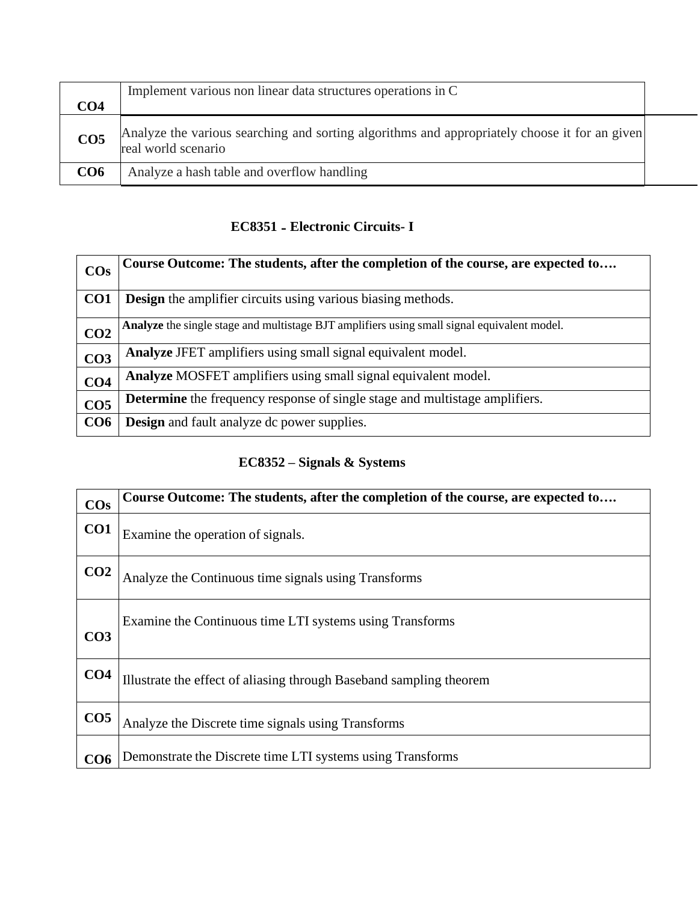| CO4             | Implement various non linear data structures operations in C                                                         |  |
|-----------------|----------------------------------------------------------------------------------------------------------------------|--|
| CO <sub>5</sub> | Analyze the various searching and sorting algorithms and appropriately choose it for an given<br>real world scenario |  |
| CO6             | Analyze a hash table and overflow handling                                                                           |  |

### **EC8351 - Electronic Circuits- I**

|                       | Course Outcome: The students, after the completion of the course, are expected to           |
|-----------------------|---------------------------------------------------------------------------------------------|
| <b>CO<sub>s</sub></b> |                                                                                             |
|                       |                                                                                             |
| CO <sub>1</sub>       | <b>Design</b> the amplifier circuits using various biasing methods.                         |
|                       |                                                                                             |
|                       |                                                                                             |
|                       | Analyze the single stage and multistage BJT amplifiers using small signal equivalent model. |
| CO <sub>2</sub>       |                                                                                             |
|                       |                                                                                             |
| CO <sub>3</sub>       | Analyze JFET amplifiers using small signal equivalent model.                                |
|                       |                                                                                             |
| CO <sub>4</sub>       | Analyze MOSFET amplifiers using small signal equivalent model.                              |
|                       |                                                                                             |
|                       | Determine the frequency response of single stage and multistage amplifiers.                 |
| CO <sub>5</sub>       |                                                                                             |
| CO <sub>6</sub>       | <b>Design</b> and fault analyze dc power supplies.                                          |
|                       |                                                                                             |
|                       |                                                                                             |

### **EC8352 – Signals & Systems**

| $\cos$          | Course Outcome: The students, after the completion of the course, are expected to |
|-----------------|-----------------------------------------------------------------------------------|
| CO <sub>1</sub> | Examine the operation of signals.                                                 |
| CO <sub>2</sub> | Analyze the Continuous time signals using Transforms                              |
| CO <sub>3</sub> | Examine the Continuous time LTI systems using Transforms                          |
| CO <sub>4</sub> | Illustrate the effect of aliasing through Baseband sampling theorem               |
| CO <sub>5</sub> | Analyze the Discrete time signals using Transforms                                |
| CO6             | Demonstrate the Discrete time LTI systems using Transforms                        |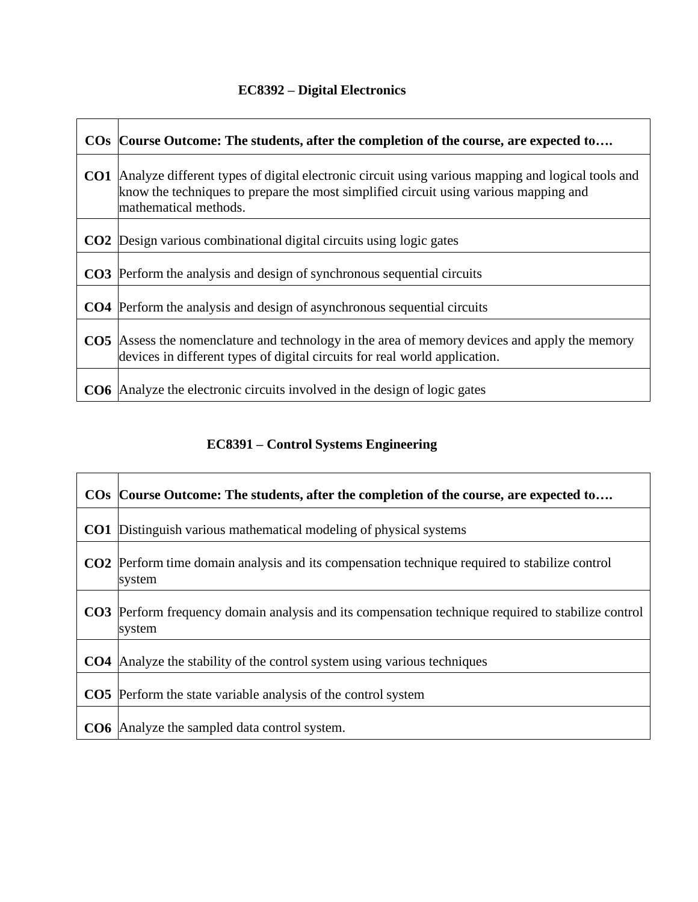# **EC8392 – Digital Electronics**

| $\bf{COs}$      | Course Outcome: The students, after the completion of the course, are expected to                                                                                                                                  |
|-----------------|--------------------------------------------------------------------------------------------------------------------------------------------------------------------------------------------------------------------|
| CO1             | Analyze different types of digital electronic circuit using various mapping and logical tools and<br>know the techniques to prepare the most simplified circuit using various mapping and<br>mathematical methods. |
| CO <sub>2</sub> | Design various combinational digital circuits using logic gates                                                                                                                                                    |
|                 | <b>CO3</b> Perform the analysis and design of synchronous sequential circuits                                                                                                                                      |
|                 | <b>CO4</b> Perform the analysis and design of asynchronous sequential circuits                                                                                                                                     |
|                 | CO5  Assess the nomenclature and technology in the area of memory devices and apply the memory<br>devices in different types of digital circuits for real world application.                                       |
| CO <sub>6</sub> | Analyze the electronic circuits involved in the design of logic gates                                                                                                                                              |

# **EC8391 – Control Systems Engineering**

|                 | COs Course Outcome: The students, after the completion of the course, are expected to                               |
|-----------------|---------------------------------------------------------------------------------------------------------------------|
| CO <sub>1</sub> | Distinguish various mathematical modeling of physical systems                                                       |
| CO <sub>2</sub> | Perform time domain analysis and its compensation technique required to stabilize control<br>system                 |
|                 | <b>CO3</b> Perform frequency domain analysis and its compensation technique required to stabilize control<br>system |
| CO4             | Analyze the stability of the control system using various techniques                                                |
|                 | <b>CO5</b> Perform the state variable analysis of the control system                                                |
|                 | <b>CO6</b> Analyze the sampled data control system.                                                                 |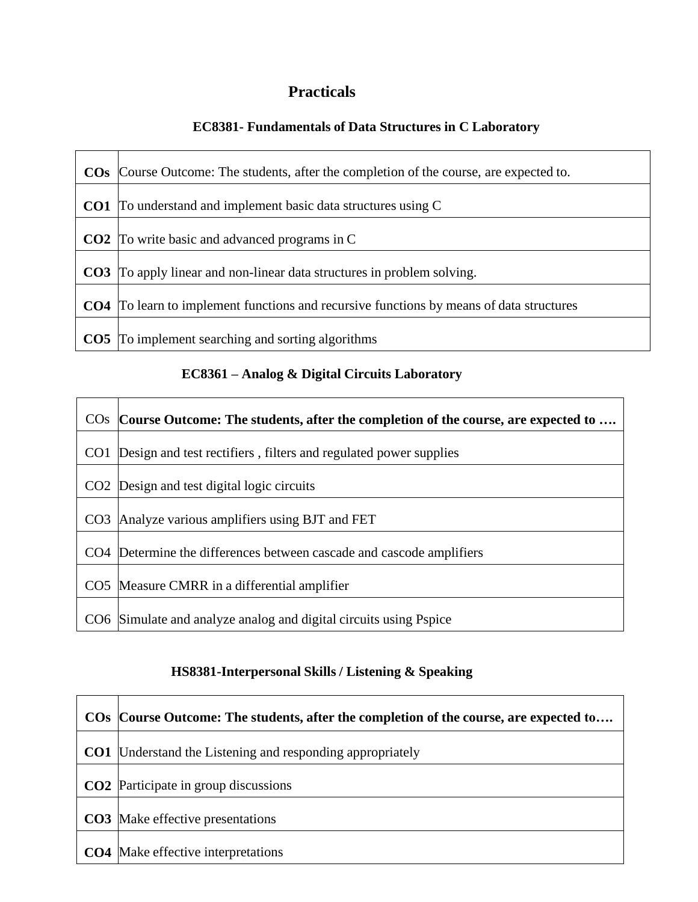# **Practicals**

### **EC8381- Fundamentals of Data Structures in C Laboratory**

| $\cos$          | Course Outcome: The students, after the completion of the course, are expected to.             |
|-----------------|------------------------------------------------------------------------------------------------|
|                 | <b>CO1</b> To understand and implement basic data structures using C                           |
|                 | <b>CO2</b> To write basic and advanced programs in C                                           |
|                 | <b>CO3</b> To apply linear and non-linear data structures in problem solving.                  |
|                 | <b>CO4</b> To learn to implement functions and recursive functions by means of data structures |
| CO <sub>5</sub> | To implement searching and sorting algorithms                                                  |

### **EC8361 – Analog & Digital Circuits Laboratory**

|                 | COs Course Outcome: The students, after the completion of the course, are expected to |
|-----------------|---------------------------------------------------------------------------------------|
| CO <sub>1</sub> | Design and test rectifiers, filters and regulated power supplies                      |
|                 | CO <sub>2</sub> Design and test digital logic circuits                                |
| CO <sub>3</sub> | Analyze various amplifiers using BJT and FET                                          |
|                 | CO4 Determine the differences between cascade and cascode amplifiers                  |
|                 | CO5 Measure CMRR in a differential amplifier                                          |
|                 | CO6 Simulate and analyze analog and digital circuits using Pspice                     |

### **HS8381-Interpersonal Skills / Listening & Speaking**

| COs Course Outcome: The students, after the completion of the course, are expected to |
|---------------------------------------------------------------------------------------|
| <b>CO1</b> Understand the Listening and responding appropriately                      |
| <b>CO2</b> Participate in group discussions                                           |
| <b>CO3</b> Make effective presentations                                               |
| <b>CO4</b> Make effective interpretations                                             |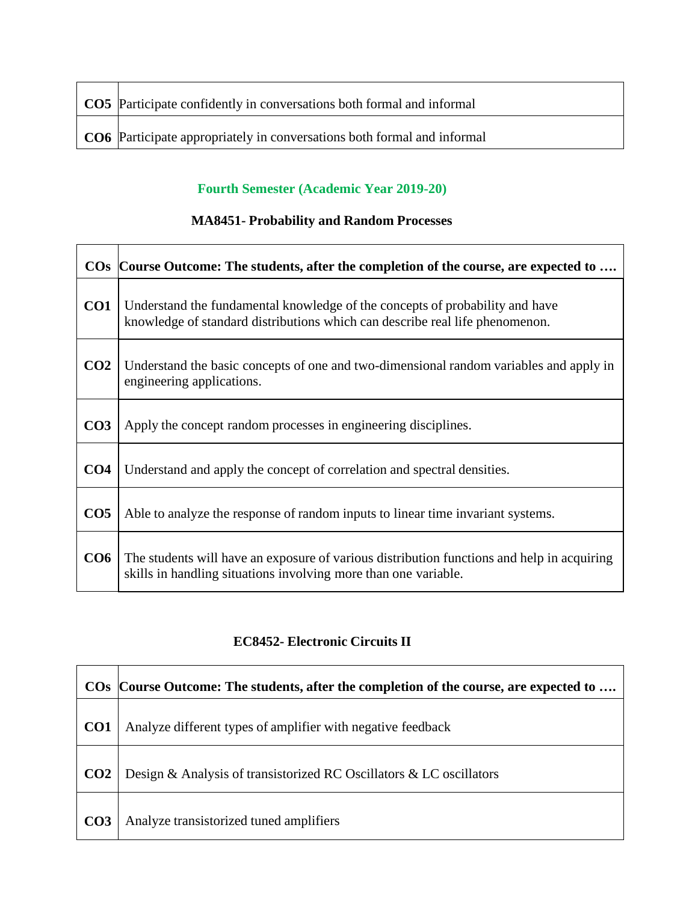| <b>CO5</b> Participate confidently in conversations both formal and informal |
|------------------------------------------------------------------------------|
| CO6 Participate appropriately in conversations both formal and informal      |

#### **Fourth Semester (Academic Year 2019-20)**

### **MA8451- Probability and Random Processes**

|                 | COs Course Outcome: The students, after the completion of the course, are expected to                                                                         |
|-----------------|---------------------------------------------------------------------------------------------------------------------------------------------------------------|
| CO <sub>1</sub> | Understand the fundamental knowledge of the concepts of probability and have<br>knowledge of standard distributions which can describe real life phenomenon.  |
| CO <sub>2</sub> | Understand the basic concepts of one and two-dimensional random variables and apply in<br>engineering applications.                                           |
| CO <sub>3</sub> | Apply the concept random processes in engineering disciplines.                                                                                                |
| CO <sub>4</sub> | Understand and apply the concept of correlation and spectral densities.                                                                                       |
| CO <sub>5</sub> | Able to analyze the response of random inputs to linear time invariant systems.                                                                               |
| CO6             | The students will have an exposure of various distribution functions and help in acquiring<br>skills in handling situations involving more than one variable. |

## **EC8452- Electronic Circuits II**

|                 | COs Course Outcome: The students, after the completion of the course, are expected to |
|-----------------|---------------------------------------------------------------------------------------|
| CO <sub>1</sub> | Analyze different types of amplifier with negative feedback                           |
| CO <sub>2</sub> | Design & Analysis of transistorized RC Oscillators & LC oscillators                   |
| CO <sub>3</sub> | Analyze transistorized tuned amplifiers                                               |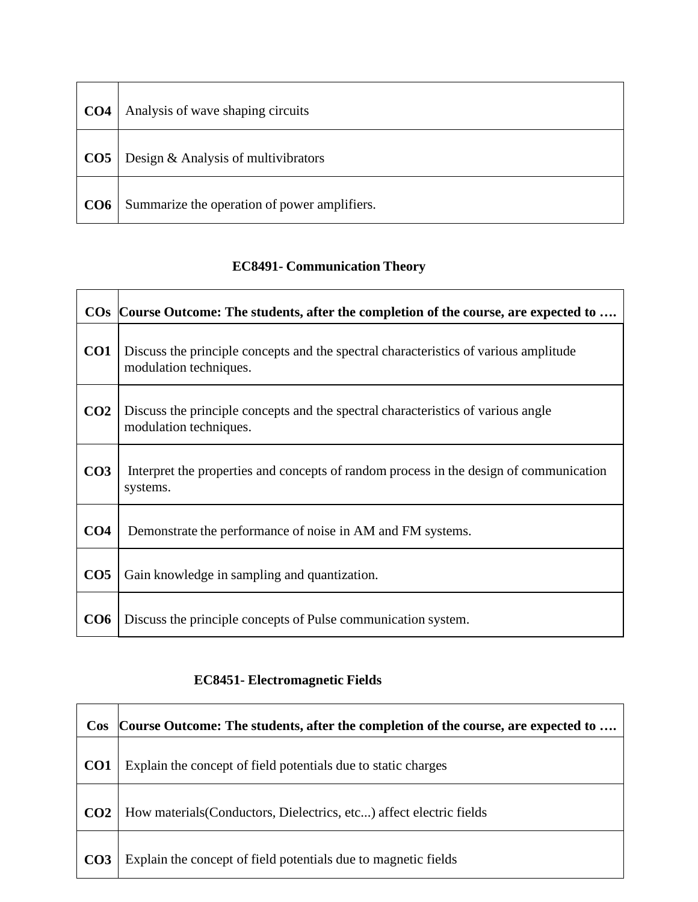| CO <sub>4</sub> | Analysis of wave shaping circuits            |
|-----------------|----------------------------------------------|
| CO <sub>5</sub> | Design & Analysis of multivibrators          |
| CO6             | Summarize the operation of power amplifiers. |

# **EC8491- Communication Theory**

|                 | COs Course Outcome: The students, after the completion of the course, are expected to                          |
|-----------------|----------------------------------------------------------------------------------------------------------------|
| CO1             | Discuss the principle concepts and the spectral characteristics of various amplitude<br>modulation techniques. |
| CO <sub>2</sub> | Discuss the principle concepts and the spectral characteristics of various angle<br>modulation techniques.     |
| CO <sub>3</sub> | Interpret the properties and concepts of random process in the design of communication<br>systems.             |
| CO <sub>4</sub> | Demonstrate the performance of noise in AM and FM systems.                                                     |
| CO <sub>5</sub> | Gain knowledge in sampling and quantization.                                                                   |
| CO6             | Discuss the principle concepts of Pulse communication system.                                                  |

# **EC8451- Electromagnetic Fields**

| $\cos$          | Course Outcome: The students, after the completion of the course, are expected to |
|-----------------|-----------------------------------------------------------------------------------|
| CO <sub>1</sub> | Explain the concept of field potentials due to static charges                     |
| CO <sub>2</sub> | How materials (Conductors, Dielectrics, etc) affect electric fields               |
| CO <sub>3</sub> | Explain the concept of field potentials due to magnetic fields                    |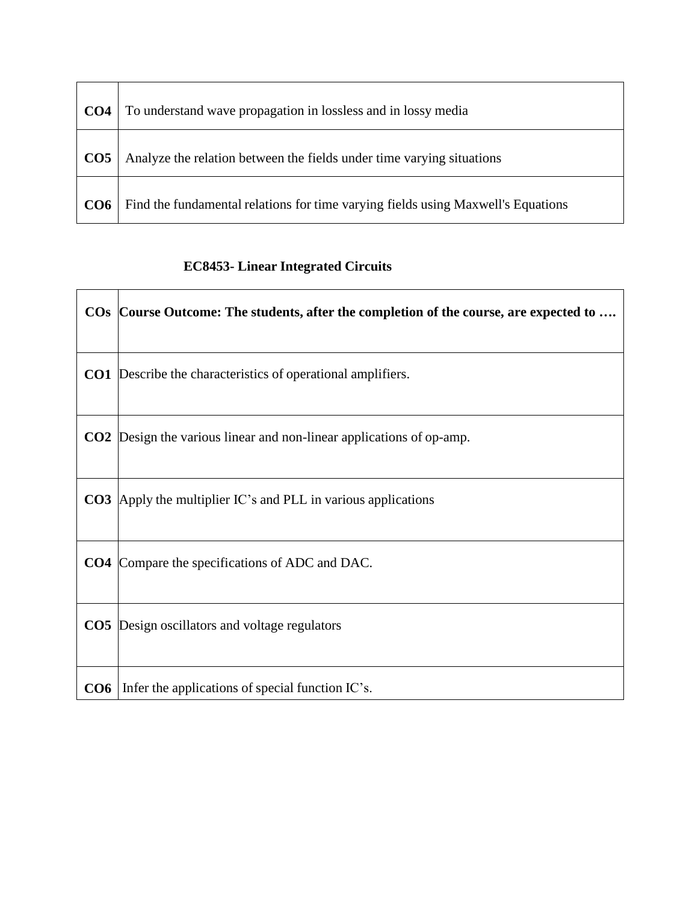| CO <sub>4</sub> | To understand wave propagation in lossless and in lossy media                    |
|-----------------|----------------------------------------------------------------------------------|
| CO <sub>5</sub> | Analyze the relation between the fields under time varying situations            |
| CO <sub>6</sub> | Find the fundamental relations for time varying fields using Maxwell's Equations |

# **EC8453- Linear Integrated Circuits**

 $\mathbf{r}$ 

| COs Course Outcome: The students, after the completion of the course, are expected to |
|---------------------------------------------------------------------------------------|
| <b>CO1</b> Describe the characteristics of operational amplifiers.                    |
| <b>CO2</b> Design the various linear and non-linear applications of op-amp.           |
| <b>CO3</b> Apply the multiplier IC's and PLL in various applications                  |
| <b>CO4</b> Compare the specifications of ADC and DAC.                                 |
| <b>CO5</b> Design oscillators and voltage regulators                                  |
| $CO6$   Infer the applications of special function IC's.                              |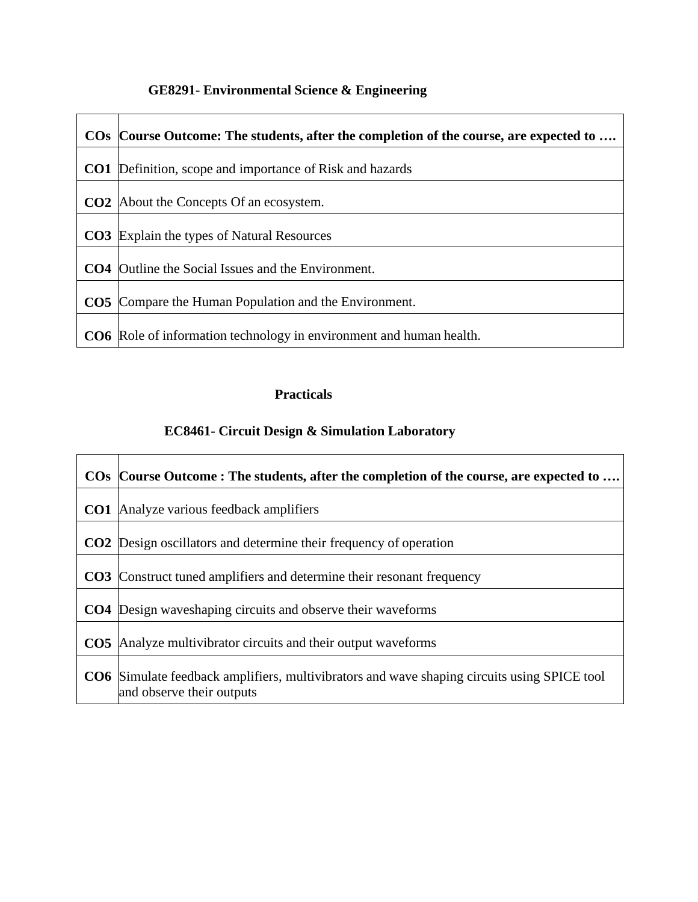# **GE8291- Environmental Science & Engineering**

| COs Course Outcome: The students, after the completion of the course, are expected to |
|---------------------------------------------------------------------------------------|
| <b>CO1</b> Definition, scope and importance of Risk and hazards                       |
| <b>CO2</b> About the Concepts Of an ecosystem.                                        |
| <b>CO3</b> Explain the types of Natural Resources                                     |
| <b>CO4</b> Outline the Social Issues and the Environment.                             |
| <b>CO5</b> Compare the Human Population and the Environment.                          |
| CO6 Role of information technology in environment and human health.                   |

### **Practicals**

### **EC8461- Circuit Design & Simulation Laboratory**

| COs Course Outcome: The students, after the completion of the course, are expected to                                           |
|---------------------------------------------------------------------------------------------------------------------------------|
| <b>CO1</b> Analyze various feedback amplifiers                                                                                  |
| <b>CO2</b> Design oscillators and determine their frequency of operation                                                        |
| <b>CO3</b> Construct tuned amplifiers and determine their resonant frequency                                                    |
| <b>CO4</b> Design waves haping circuits and observe their waveforms                                                             |
| <b>CO5</b> Analyze multivibrator circuits and their output waveforms                                                            |
| <b>CO6</b> Simulate feedback amplifiers, multivibrators and wave shaping circuits using SPICE tool<br>and observe their outputs |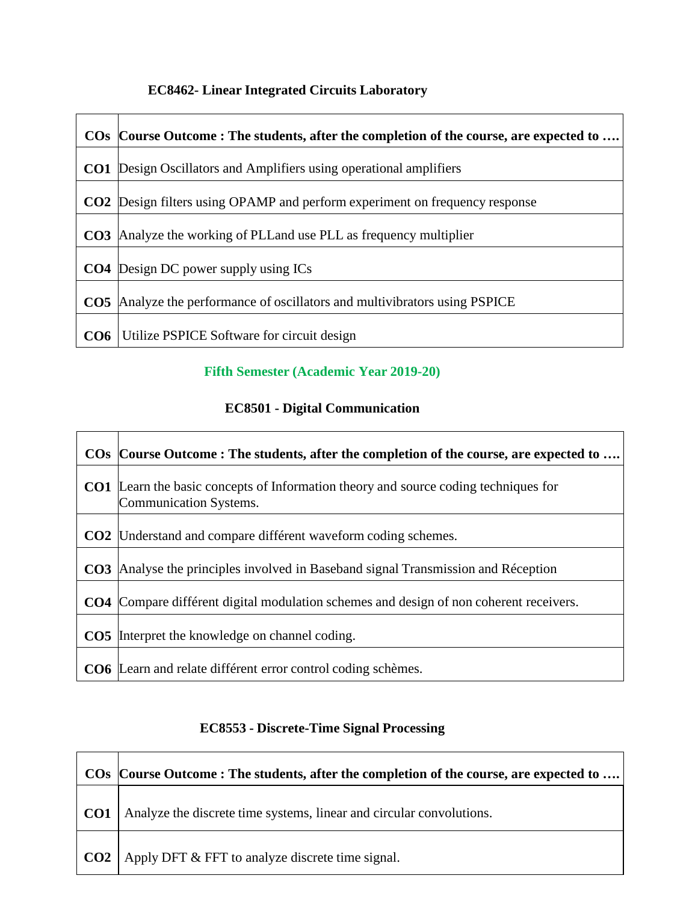### **EC8462- Linear Integrated Circuits Laboratory**

|     | COs Course Outcome: The students, after the completion of the course, are expected to |
|-----|---------------------------------------------------------------------------------------|
|     | <b>CO1</b> Design Oscillators and Amplifiers using operational amplifiers             |
|     | <b>CO2</b> Design filters using OPAMP and perform experiment on frequency response    |
|     | <b>CO3</b> Analyze the working of PLL and use PLL as frequency multiplier             |
|     | <b>CO4</b> Design DC power supply using ICs                                           |
|     | <b>CO5</b> Analyze the performance of oscillators and multivibrators using PSPICE     |
| CO6 | Utilize PSPICE Software for circuit design                                            |

### **Fifth Semester (Academic Year 2019-20)**

### **EC8501 - Digital Communication**

| COs Course Outcome: The students, after the completion of the course, are expected to                                       |
|-----------------------------------------------------------------------------------------------------------------------------|
| <b>CO1</b> Learn the basic concepts of Information theory and source coding techniques for<br><b>Communication Systems.</b> |
| <b>CO2</b> Understand and compare différent waveform coding schemes.                                                        |
| <b>CO3</b> Analyse the principles involved in Baseband signal Transmission and Réception                                    |
| <b>CO4</b> Compare différent digital modulation schemes and design of non coherent receivers.                               |
| <b>CO5</b> Interpret the knowledge on channel coding.                                                                       |
| <b>CO6</b> Learn and relate différent error control coding schèmes.                                                         |

## **EC8553 - Discrete-Time Signal Processing**

|     | COs  Course Outcome : The students, after the completion of the course, are expected to |
|-----|-----------------------------------------------------------------------------------------|
| CO1 | Analyze the discrete time systems, linear and circular convolutions.                    |
|     | $\vert$ CO2 $\vert$ Apply DFT & FFT to analyze discrete time signal.                    |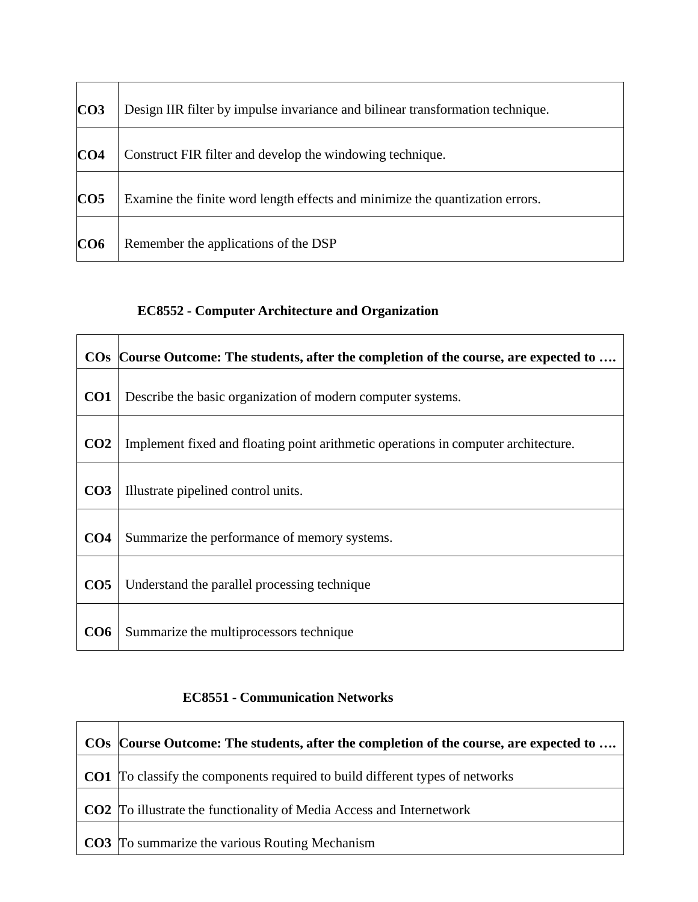| CO <sub>3</sub> | Design IIR filter by impulse invariance and bilinear transformation technique. |
|-----------------|--------------------------------------------------------------------------------|
| CO <sub>4</sub> | Construct FIR filter and develop the windowing technique.                      |
| CO <sub>5</sub> | Examine the finite word length effects and minimize the quantization errors.   |
| CO6             | Remember the applications of the DSP                                           |

### **EC8552 - Computer Architecture and Organization**

|                 | COs Course Outcome: The students, after the completion of the course, are expected to |
|-----------------|---------------------------------------------------------------------------------------|
| CO <sub>1</sub> | Describe the basic organization of modern computer systems.                           |
| CO <sub>2</sub> | Implement fixed and floating point arithmetic operations in computer architecture.    |
| CO <sub>3</sub> | Illustrate pipelined control units.                                                   |
| CO <sub>4</sub> | Summarize the performance of memory systems.                                          |
| CO <sub>5</sub> | Understand the parallel processing technique                                          |
| CO6             | Summarize the multiprocessors technique                                               |

### **EC8551 - Communication Networks**

| COs Course Outcome: The students, after the completion of the course, are expected to |
|---------------------------------------------------------------------------------------|
| <b>CO1</b> To classify the components required to build different types of networks   |
| <b>CO2</b> To illustrate the functionality of Media Access and Internetwork           |
| <b>CO3</b> To summarize the various Routing Mechanism                                 |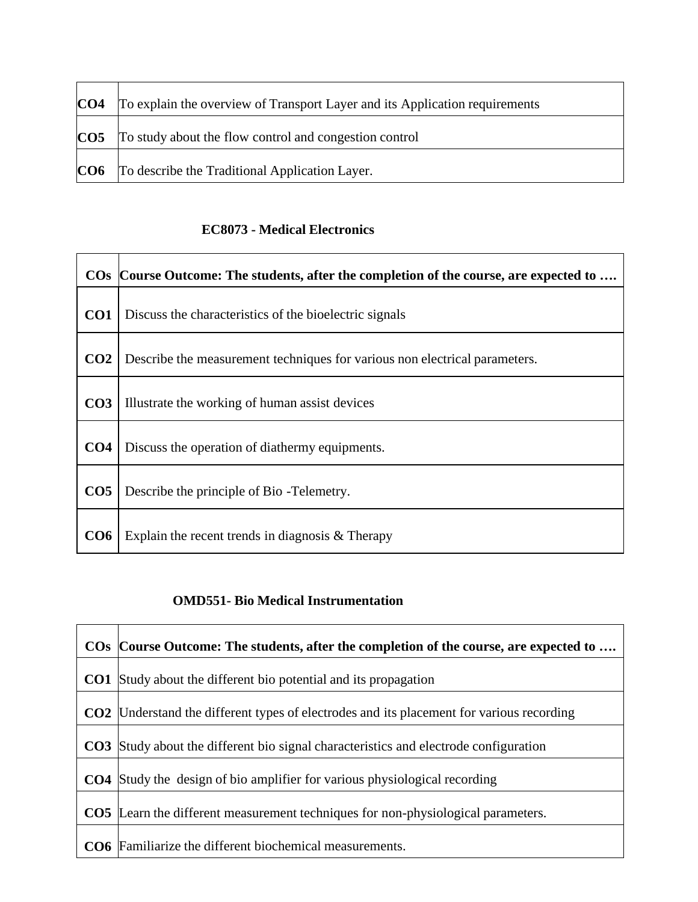| CO <sub>4</sub> | To explain the overview of Transport Layer and its Application requirements |
|-----------------|-----------------------------------------------------------------------------|
| CO <sub>5</sub> | To study about the flow control and congestion control                      |
|                 | <b>CO6</b> To describe the Traditional Application Layer.                   |

 $\overline{\phantom{0}}$ 

### **EC8073 - Medical Electronics**

 $\mathbf{r}$ 

|                 | COs Course Outcome: The students, after the completion of the course, are expected to |
|-----------------|---------------------------------------------------------------------------------------|
| CO <sub>1</sub> | Discuss the characteristics of the bioelectric signals                                |
| CO <sub>2</sub> | Describe the measurement techniques for various non electrical parameters.            |
| CO <sub>3</sub> | Illustrate the working of human assist devices                                        |
| CO <sub>4</sub> | Discuss the operation of diathermy equipments.                                        |
| CO <sub>5</sub> | Describe the principle of Bio -Telemetry.                                             |
| CO <sub>6</sub> | Explain the recent trends in diagnosis $&$ Therapy                                    |

#### **OMD551- Bio Medical Instrumentation**

|                 | COs Course Outcome: The students, after the completion of the course, are expected to       |
|-----------------|---------------------------------------------------------------------------------------------|
| CO1             | Study about the different bio potential and its propagation                                 |
| CO <sub>2</sub> | Understand the different types of electrodes and its placement for various recording        |
|                 | <b>CO3</b> Study about the different bio signal characteristics and electrode configuration |
| CO <sub>4</sub> | Study the design of bio amplifier for various physiological recording                       |
| CO <sub>5</sub> | Learn the different measurement techniques for non-physiological parameters.                |
|                 | <b>CO6</b> Familiarize the different biochemical measurements.                              |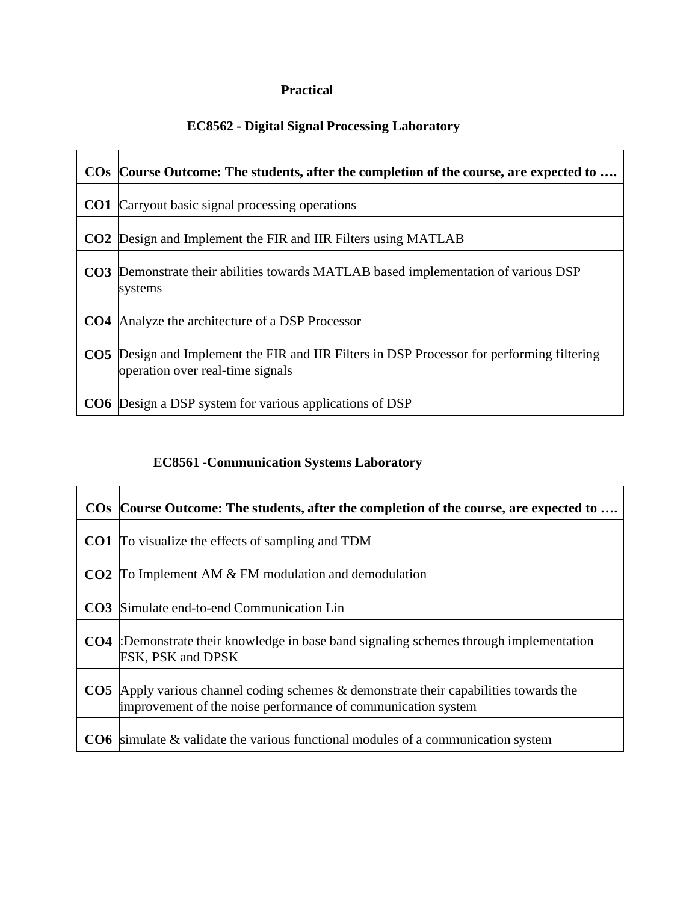### **Practical**

### **EC8562 - Digital Signal Processing Laboratory**

| COs Course Outcome: The students, after the completion of the course, are expected to                                                 |
|---------------------------------------------------------------------------------------------------------------------------------------|
| <b>CO1</b> Carryout basic signal processing operations                                                                                |
| <b>CO2</b> Design and Implement the FIR and IIR Filters using MATLAB                                                                  |
| <b>CO3</b> Demonstrate their abilities towards MATLAB based implementation of various DSP<br>systems                                  |
| <b>CO4</b> Analyze the architecture of a DSP Processor                                                                                |
| <b>CO5</b> Design and Implement the FIR and IIR Filters in DSP Processor for performing filtering<br>operation over real-time signals |
| <b>CO6</b> Design a DSP system for various applications of DSP                                                                        |

### **EC8561 -Communication Systems Laboratory**

| $\cos$          | Course Outcome: The students, after the completion of the course, are expected to                                                                    |
|-----------------|------------------------------------------------------------------------------------------------------------------------------------------------------|
| CO1             | To visualize the effects of sampling and TDM                                                                                                         |
| CO <sub>2</sub> | To Implement AM & FM modulation and demodulation                                                                                                     |
| CO <sub>3</sub> | Simulate end-to-end Communication Lin                                                                                                                |
| CO4             | :Demonstrate their knowledge in base band signaling schemes through implementation<br>FSK, PSK and DPSK                                              |
| CO <sub>5</sub> | Apply various channel coding schemes $\&$ demonstrate their capabilities towards the<br>improvement of the noise performance of communication system |
| CO <sub>6</sub> | simulate & validate the various functional modules of a communication system                                                                         |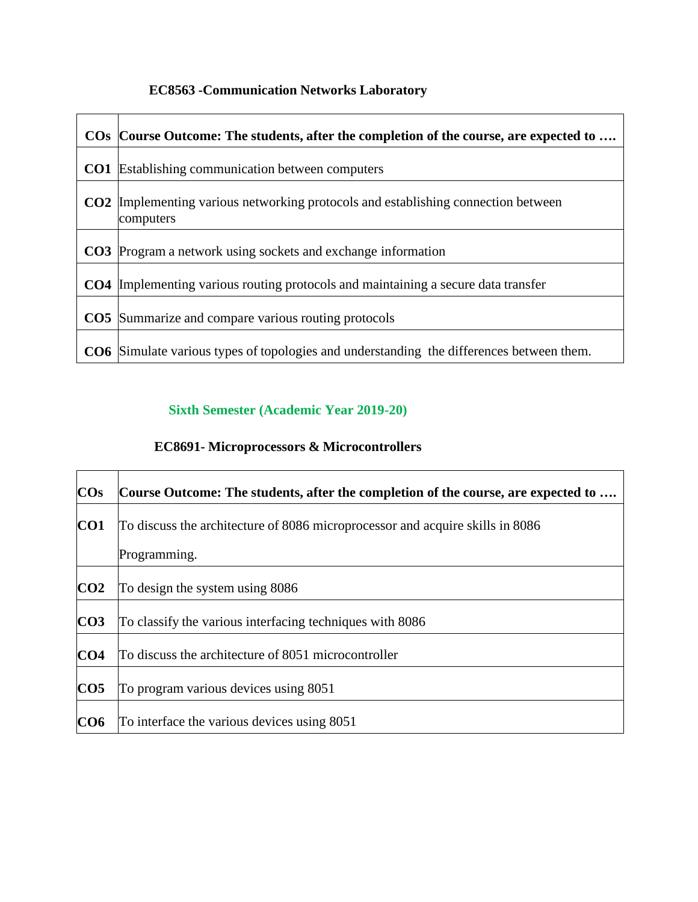# **EC8563 -Communication Networks Laboratory**

| COs Course Outcome: The students, after the completion of the course, are expected to                 |
|-------------------------------------------------------------------------------------------------------|
| <b>CO1</b> Establishing communication between computers                                               |
| <b>CO2</b> Implementing various networking protocols and establishing connection between<br>computers |
| CO3 Program a network using sockets and exchange information                                          |
| <b>CO4</b> Implementing various routing protocols and maintaining a secure data transfer              |
| <b>CO5</b> Summarize and compare various routing protocols                                            |
| <b>CO6</b> Simulate various types of topologies and understanding the differences between them.       |

### **Sixth Semester (Academic Year 2019-20)**

### **EC8691- Microprocessors & Microcontrollers**

| <b>COs</b>      | Course Outcome: The students, after the completion of the course, are expected to |
|-----------------|-----------------------------------------------------------------------------------|
| CO <sub>1</sub> | To discuss the architecture of 8086 microprocessor and acquire skills in 8086     |
|                 | Programming.                                                                      |
| CO <sub>2</sub> | To design the system using 8086                                                   |
| CO <sub>3</sub> | To classify the various interfacing techniques with 8086                          |
| CO <sub>4</sub> | To discuss the architecture of 8051 microcontroller                               |
| CO <sub>5</sub> | To program various devices using 8051                                             |
| CO6             | To interface the various devices using 8051                                       |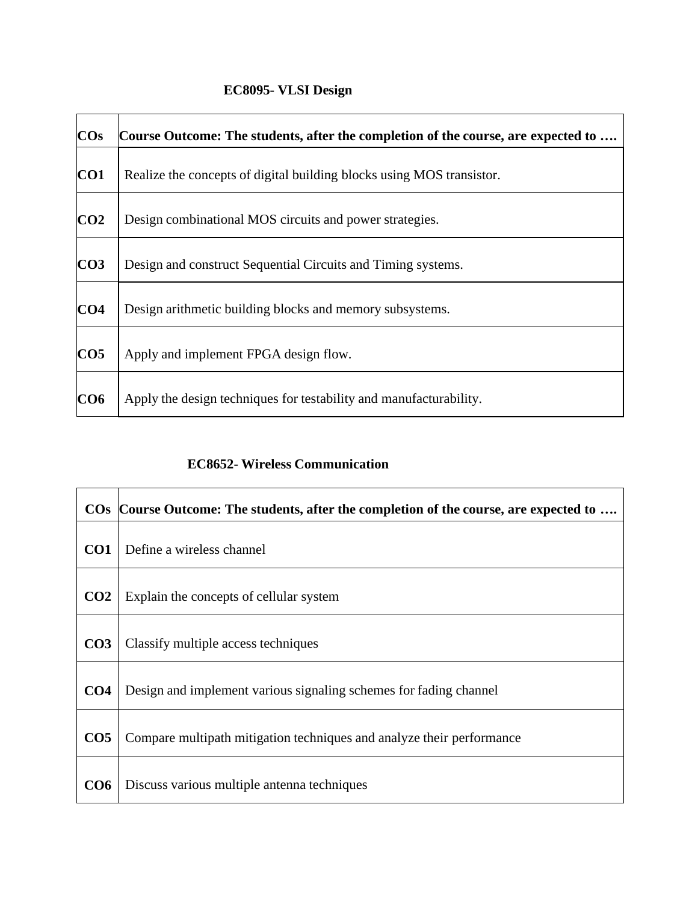# **EC8095- VLSI Design**

| <b>COs</b>      | Course Outcome: The students, after the completion of the course, are expected to |
|-----------------|-----------------------------------------------------------------------------------|
| CO1             | Realize the concepts of digital building blocks using MOS transistor.             |
| CO <sub>2</sub> | Design combinational MOS circuits and power strategies.                           |
| CO <sub>3</sub> | Design and construct Sequential Circuits and Timing systems.                      |
| CO <sub>4</sub> | Design arithmetic building blocks and memory subsystems.                          |
| CO <sub>5</sub> | Apply and implement FPGA design flow.                                             |
| CO6             | Apply the design techniques for testability and manufacturability.                |

### **EC8652- Wireless Communication**

|                 | COs Course Outcome: The students, after the completion of the course, are expected to |
|-----------------|---------------------------------------------------------------------------------------|
| CO <sub>1</sub> | Define a wireless channel                                                             |
| CO <sub>2</sub> | Explain the concepts of cellular system                                               |
| CO <sub>3</sub> | Classify multiple access techniques                                                   |
| CO <sub>4</sub> | Design and implement various signaling schemes for fading channel                     |
| CO <sub>5</sub> | Compare multipath mitigation techniques and analyze their performance                 |
| CO6             | Discuss various multiple antenna techniques                                           |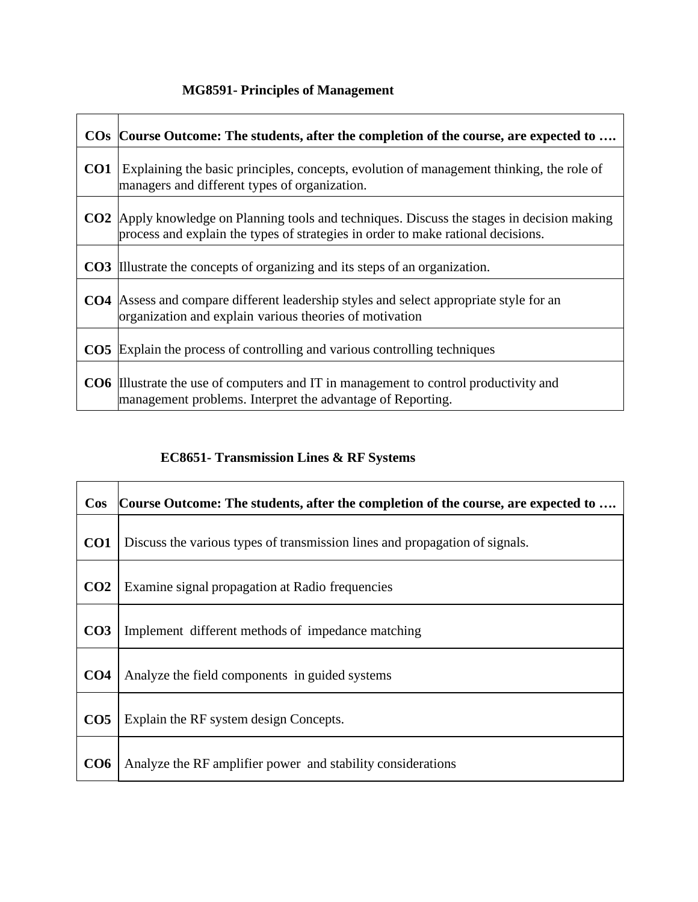# **MG8591- Principles of Management**

|                 | COs Course Outcome: The students, after the completion of the course, are expected to                                                                                                  |
|-----------------|----------------------------------------------------------------------------------------------------------------------------------------------------------------------------------------|
| CO <sub>1</sub> | Explaining the basic principles, concepts, evolution of management thinking, the role of<br>managers and different types of organization.                                              |
|                 | <b>CO2</b> Apply knowledge on Planning tools and techniques. Discuss the stages in decision making<br>process and explain the types of strategies in order to make rational decisions. |
|                 | <b>CO3</b> Illustrate the concepts of organizing and its steps of an organization.                                                                                                     |
|                 | <b>CO4</b> Assess and compare different leadership styles and select appropriate style for an<br>organization and explain various theories of motivation                               |
|                 | <b>CO5</b> Explain the process of controlling and various controlling techniques                                                                                                       |
|                 | <b>CO6</b> Illustrate the use of computers and IT in management to control productivity and<br>management problems. Interpret the advantage of Reporting.                              |

# **EC8651- Transmission Lines & RF Systems**

| $\cos$          | Course Outcome: The students, after the completion of the course, are expected to |
|-----------------|-----------------------------------------------------------------------------------|
| CO <sub>1</sub> | Discuss the various types of transmission lines and propagation of signals.       |
| CO <sub>2</sub> | Examine signal propagation at Radio frequencies                                   |
| CO <sub>3</sub> | Implement different methods of impedance matching                                 |
| CO <sub>4</sub> | Analyze the field components in guided systems                                    |
| CO <sub>5</sub> | Explain the RF system design Concepts.                                            |
| CO6             | Analyze the RF amplifier power and stability considerations                       |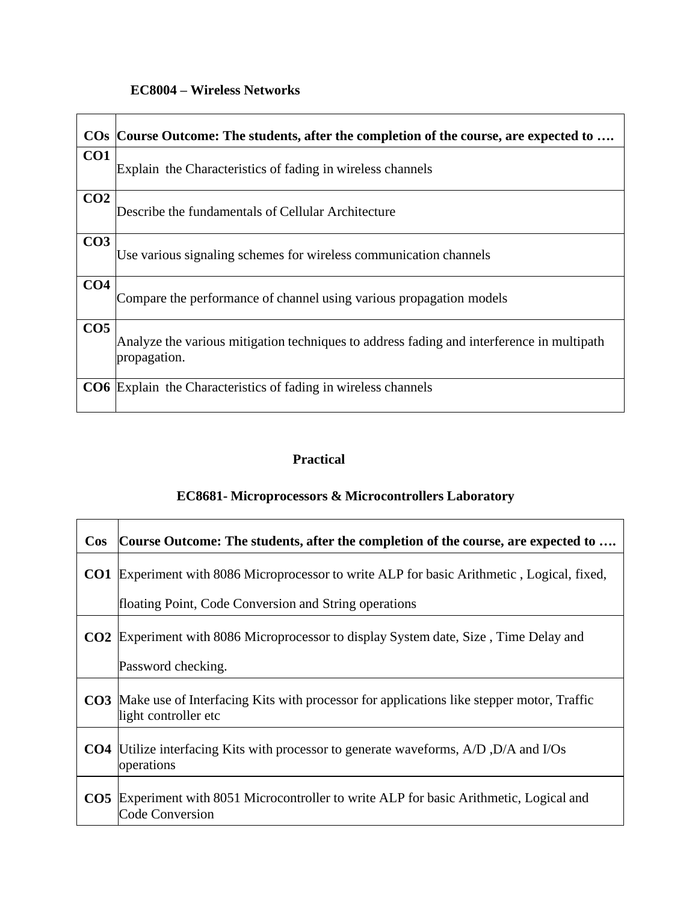### **EC8004 – Wireless Networks**

|                 | COs Course Outcome: The students, after the completion of the course, are expected to                     |
|-----------------|-----------------------------------------------------------------------------------------------------------|
| CO <sub>1</sub> | Explain the Characteristics of fading in wireless channels                                                |
| CO <sub>2</sub> | Describe the fundamentals of Cellular Architecture                                                        |
| CO <sub>3</sub> | Use various signaling schemes for wireless communication channels                                         |
| CO <sub>4</sub> | Compare the performance of channel using various propagation models                                       |
| CO <sub>5</sub> | Analyze the various mitigation techniques to address fading and interference in multipath<br>propagation. |
|                 | <b>CO6</b> Explain the Characteristics of fading in wireless channels                                     |

## **Practical**

### **EC8681- Microprocessors & Microcontrollers Laboratory**

| $\cos$          | Course Outcome: The students, after the completion of the course, are expected to                                           |
|-----------------|-----------------------------------------------------------------------------------------------------------------------------|
| CO1             | Experiment with 8086 Microprocessor to write ALP for basic Arithmetic, Logical, fixed,                                      |
|                 | floating Point, Code Conversion and String operations                                                                       |
| CO <sub>2</sub> | Experiment with 8086 Microprocessor to display System date, Size, Time Delay and                                            |
|                 | Password checking.                                                                                                          |
|                 | <b>CO3</b> Make use of Interfacing Kits with processor for applications like stepper motor, Traffic<br>light controller etc |
| CO <sub>4</sub> | Utilize interfacing Kits with processor to generate waveforms, A/D, D/A and I/Os<br>operations                              |
|                 | <b>CO5</b> Experiment with 8051 Microcontroller to write ALP for basic Arithmetic, Logical and<br><b>Code Conversion</b>    |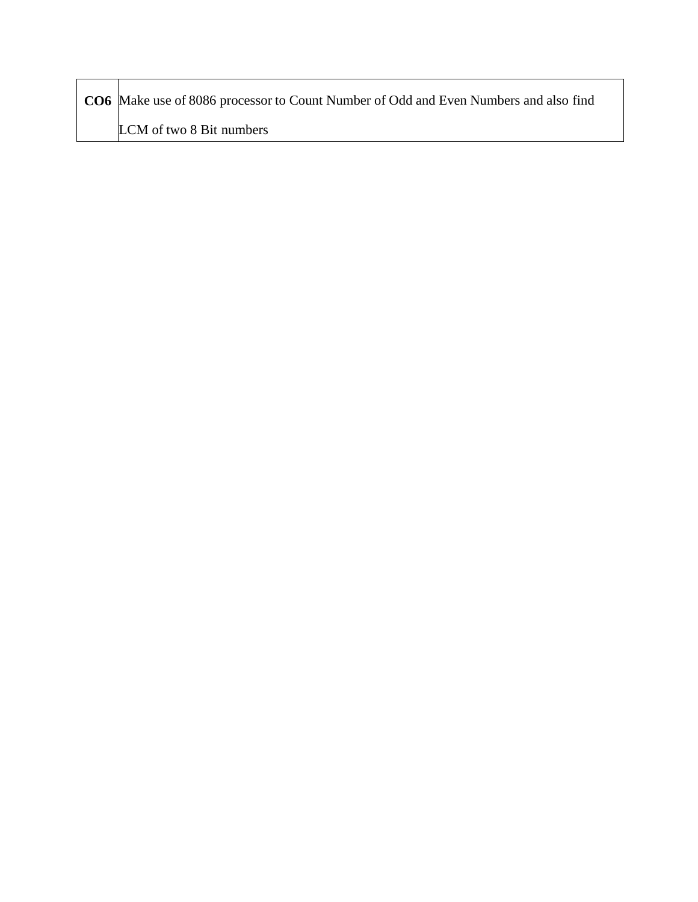| <b>CO6</b> Make use of 8086 processor to Count Number of Odd and Even Numbers and also find |
|---------------------------------------------------------------------------------------------|
| LCM of two 8 Bit numbers                                                                    |

Г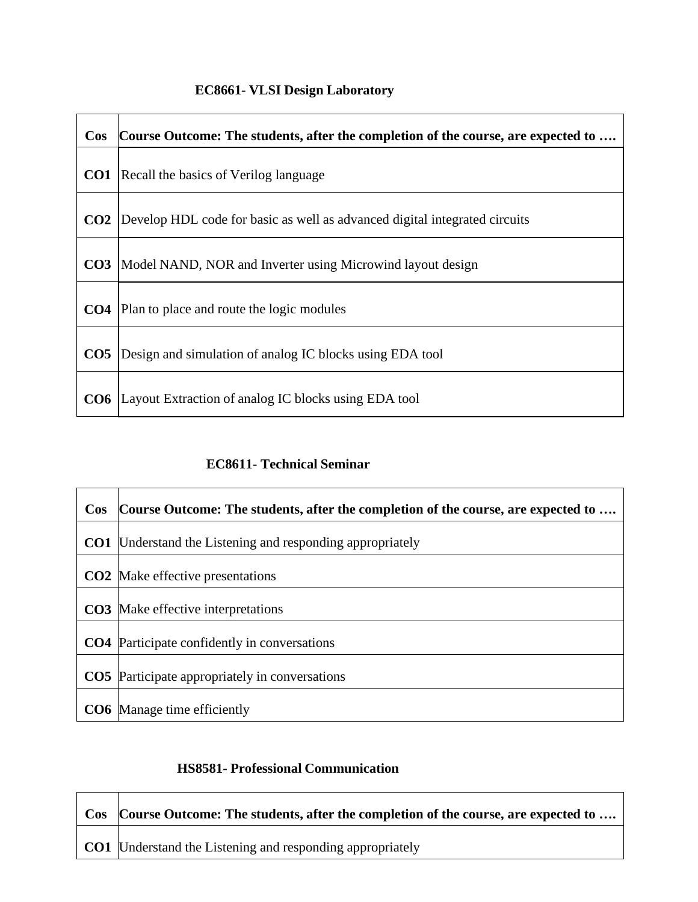# **EC8661- VLSI Design Laboratory**

| $\cos$          | Course Outcome: The students, after the completion of the course, are expected to |
|-----------------|-----------------------------------------------------------------------------------|
| CO1             | Recall the basics of Verilog language                                             |
| CO <sub>2</sub> | Develop HDL code for basic as well as advanced digital integrated circuits        |
| CO <sub>3</sub> | Model NAND, NOR and Inverter using Microwind layout design                        |
| CO <sub>4</sub> | Plan to place and route the logic modules                                         |
| CO <sub>5</sub> | Design and simulation of analog IC blocks using EDA tool                          |
| CO6             | Layout Extraction of analog IC blocks using EDA tool                              |

### **EC8611- Technical Seminar**

| <b>Cos</b>      | Course Outcome: The students, after the completion of the course, are expected to |
|-----------------|-----------------------------------------------------------------------------------|
| CO <sub>1</sub> | Understand the Listening and responding appropriately                             |
|                 | <b>CO2</b> Make effective presentations                                           |
|                 | <b>CO3</b> Make effective interpretations                                         |
|                 | <b>CO4</b> Participate confidently in conversations                               |
|                 | <b>CO5</b> Participate appropriately in conversations                             |
|                 | <b>CO6</b> Manage time efficiently                                                |

### **HS8581- Professional Communication**

| Cos Course Outcome: The students, after the completion of the course, are expected to |
|---------------------------------------------------------------------------------------|
| <b>CO1</b> Understand the Listening and responding appropriately                      |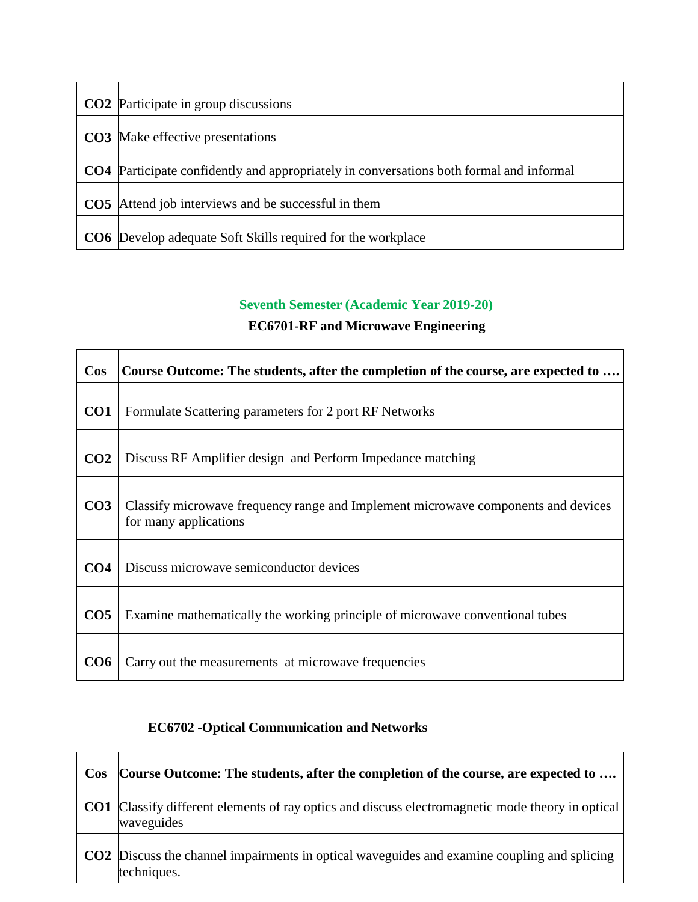| <b>CO2</b> Participate in group discussions                                             |
|-----------------------------------------------------------------------------------------|
| <b>CO3</b> Make effective presentations                                                 |
| CO4 Participate confidently and appropriately in conversations both formal and informal |
| <b>CO5</b> Attend job interviews and be successful in them                              |
| <b>CO6</b> Develop adequate Soft Skills required for the workplace                      |

# **Seventh Semester (Academic Year 2019-20)**

### **EC6701-RF and Microwave Engineering**

| $\cos$          | Course Outcome: The students, after the completion of the course, are expected to                          |
|-----------------|------------------------------------------------------------------------------------------------------------|
| CO <sub>1</sub> | Formulate Scattering parameters for 2 port RF Networks                                                     |
| CO <sub>2</sub> | Discuss RF Amplifier design and Perform Impedance matching                                                 |
| CO <sub>3</sub> | Classify microwave frequency range and Implement microwave components and devices<br>for many applications |
| CO <sub>4</sub> | Discuss microwave semiconductor devices                                                                    |
| CO <sub>5</sub> | Examine mathematically the working principle of microwave conventional tubes                               |
| CO6             | Carry out the measurements at microwave frequencies                                                        |

### **EC6702 -Optical Communication and Networks**

| $\cos$ | Course Outcome: The students, after the completion of the course, are expected to                                     |
|--------|-----------------------------------------------------------------------------------------------------------------------|
|        | <b>CO1</b> Classify different elements of ray optics and discuss electromagnetic mode theory in optical<br>waveguides |
|        | <b>CO2</b> Discuss the channel impairments in optical waveguides and examine coupling and splicing<br>techniques.     |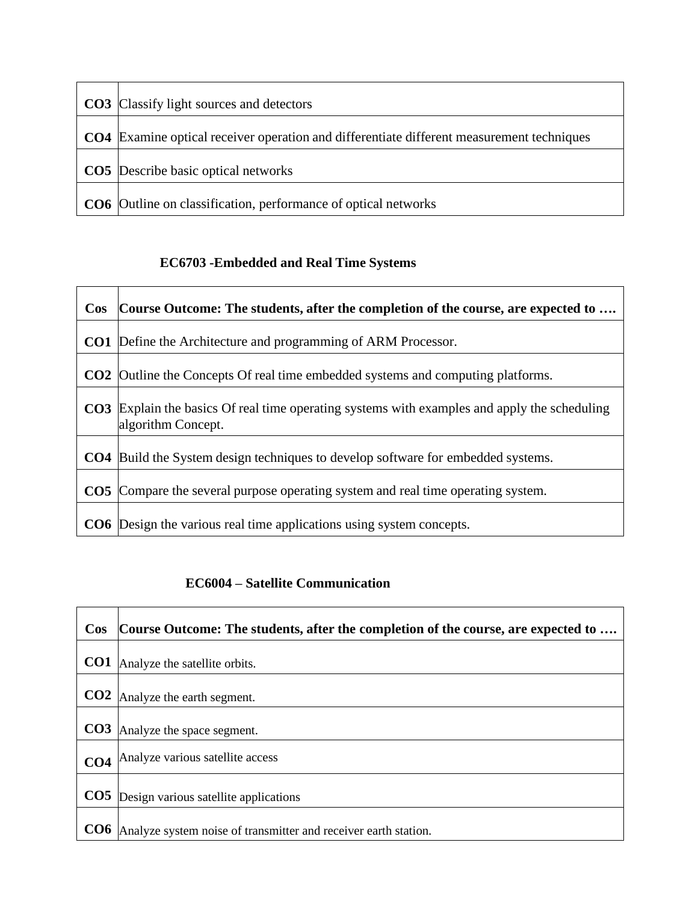| <b>CO3</b> Classify light sources and detectors                                                  |
|--------------------------------------------------------------------------------------------------|
|                                                                                                  |
| <b>CO4</b> Examine optical receiver operation and differentiate different measurement techniques |
|                                                                                                  |
| <b>CO5</b> Describe basic optical networks                                                       |
|                                                                                                  |
| CO6  Outline on classification, performance of optical networks                                  |

# **EC6703 -Embedded and Real Time Systems**

| $\cos$ | Course Outcome: The students, after the completion of the course, are expected to                                         |
|--------|---------------------------------------------------------------------------------------------------------------------------|
|        | <b>CO1</b> Define the Architecture and programming of ARM Processor.                                                      |
|        | <b>CO2</b> Outline the Concepts Of real time embedded systems and computing platforms.                                    |
|        | <b>CO3</b> Explain the basics Of real time operating systems with examples and apply the scheduling<br>algorithm Concept. |
|        | <b>CO4</b> Build the System design techniques to develop software for embedded systems.                                   |
|        | <b>CO5</b> Compare the several purpose operating system and real time operating system.                                   |
|        | <b>CO6</b> Design the various real time applications using system concepts.                                               |

## **EC6004 – Satellite Communication**

| $\cos$          | Course Outcome: The students, after the completion of the course, are expected to |
|-----------------|-----------------------------------------------------------------------------------|
| CO <sub>1</sub> | Analyze the satellite orbits.                                                     |
| CO <sub>2</sub> | Analyze the earth segment.                                                        |
| CO <sub>3</sub> | Analyze the space segment.                                                        |
| CO <sub>4</sub> | Analyze various satellite access                                                  |
| CO <sub>5</sub> | Design various satellite applications                                             |
| CO <sub>6</sub> | Analyze system noise of transmitter and receiver earth station.                   |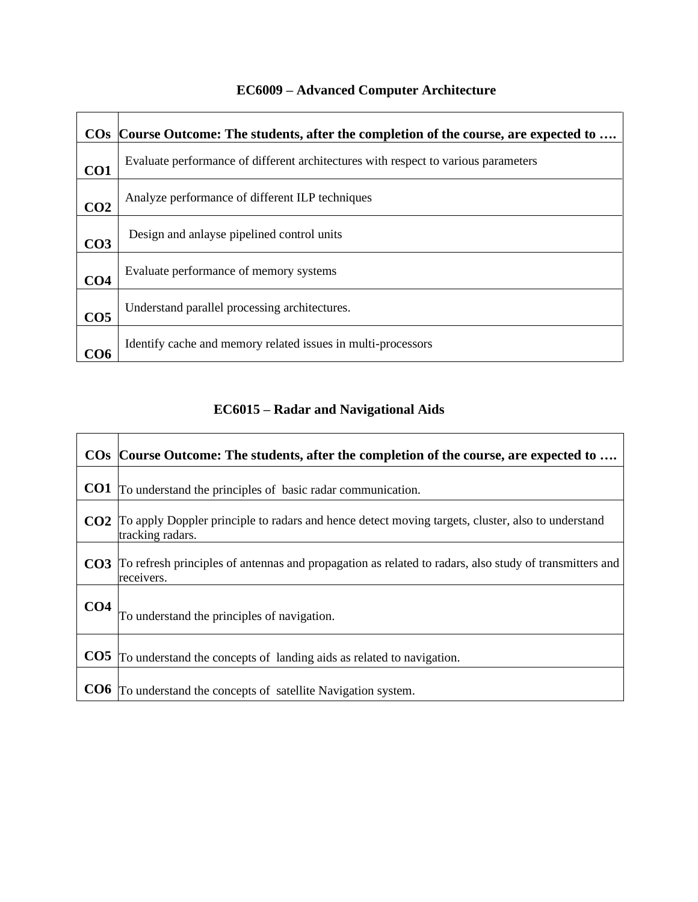|                 | COs Course Outcome: The students, after the completion of the course, are expected to |
|-----------------|---------------------------------------------------------------------------------------|
| CO <sub>1</sub> | Evaluate performance of different architectures with respect to various parameters    |
| CO <sub>2</sub> | Analyze performance of different ILP techniques                                       |
| CO <sub>3</sub> | Design and anlayse pipelined control units                                            |
| CO <sub>4</sub> | Evaluate performance of memory systems                                                |
| CO <sub>5</sub> | Understand parallel processing architectures.                                         |
| CO6             | Identify cache and memory related issues in multi-processors                          |

# **EC6009 – Advanced Computer Architecture**

### **EC6015 – Radar and Navigational Aids**

٦

|                 | COs Course Outcome: The students, after the completion of the course, are expected to                                            |
|-----------------|----------------------------------------------------------------------------------------------------------------------------------|
| CO <sub>1</sub> | To understand the principles of basic radar communication.                                                                       |
|                 | <b>CO2</b> To apply Doppler principle to radars and hence detect moving targets, cluster, also to understand<br>tracking radars. |
|                 | CO3 To refresh principles of antennas and propagation as related to radars, also study of transmitters and<br>receivers.         |
| CO <sub>4</sub> | To understand the principles of navigation.                                                                                      |
| CO <sub>5</sub> | To understand the concepts of landing aids as related to navigation.                                                             |
| CO6             | To understand the concepts of satellite Navigation system.                                                                       |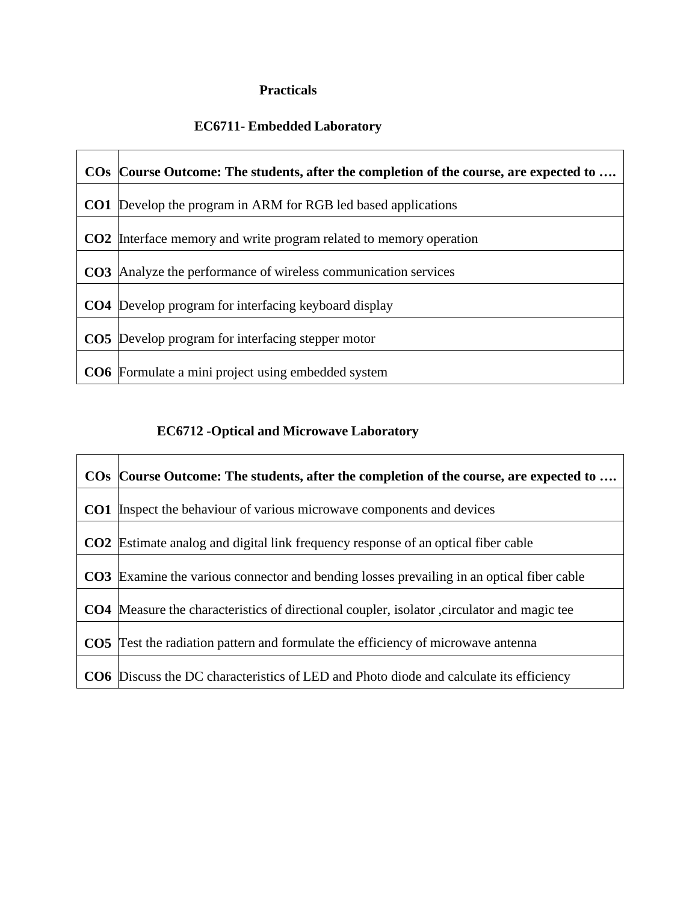### **Practicals**

### **EC6711- Embedded Laboratory**

|                 | COs Course Outcome: The students, after the completion of the course, are expected to |
|-----------------|---------------------------------------------------------------------------------------|
|                 | <b>CO1</b> Develop the program in ARM for RGB led based applications                  |
| CO <sub>2</sub> | Interface memory and write program related to memory operation                        |
| CO <sub>3</sub> | Analyze the performance of wireless communication services                            |
|                 | <b>CO4</b> Develop program for interfacing keyboard display                           |
|                 | <b>CO5</b> Develop program for interfacing stepper motor                              |
|                 | <b>CO6</b> Formulate a mini project using embedded system                             |

### **EC6712 -Optical and Microwave Laboratory**

| COs Course Outcome: The students, after the completion of the course, are expected to              |
|----------------------------------------------------------------------------------------------------|
| <b>CO1</b> Inspect the behaviour of various microwave components and devices                       |
| <b>CO2</b> Estimate analog and digital link frequency response of an optical fiber cable           |
| <b>CO3</b> Examine the various connector and bending losses prevailing in an optical fiber cable   |
| <b>CO4</b> Measure the characteristics of directional coupler, isolator , circulator and magic tee |
| <b>CO5</b> Test the radiation pattern and formulate the efficiency of microwave antenna            |
| <b>CO6</b> Discuss the DC characteristics of LED and Photo diode and calculate its efficiency      |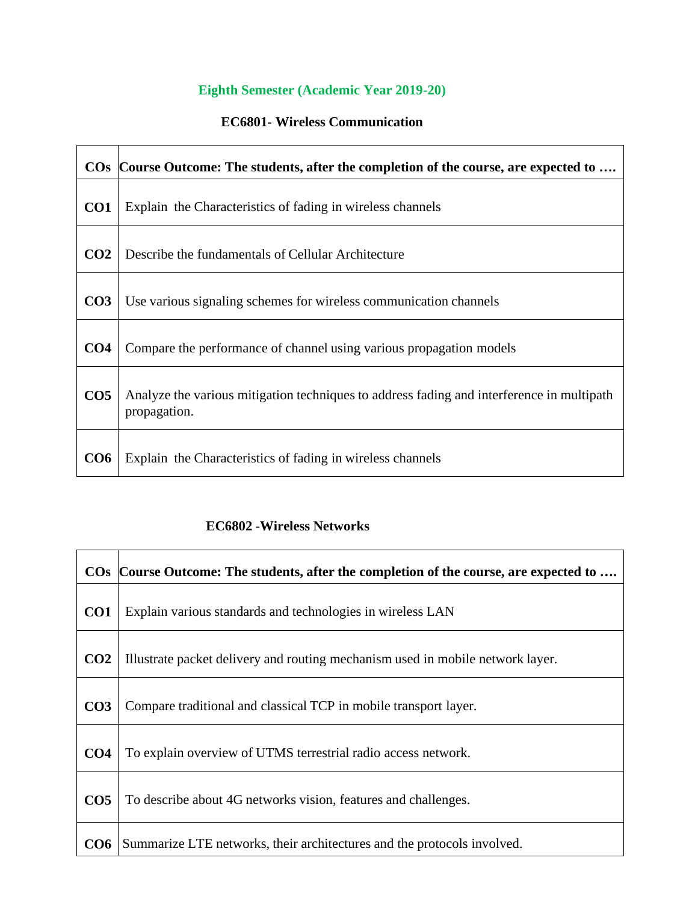# **Eighth Semester (Academic Year 2019-20)**

## **EC6801- Wireless Communication**

|                 | COs Course Outcome: The students, after the completion of the course, are expected to                     |
|-----------------|-----------------------------------------------------------------------------------------------------------|
| CO <sub>1</sub> | Explain the Characteristics of fading in wireless channels                                                |
| CO <sub>2</sub> | Describe the fundamentals of Cellular Architecture                                                        |
| CO <sub>3</sub> | Use various signaling schemes for wireless communication channels                                         |
| CO <sub>4</sub> | Compare the performance of channel using various propagation models                                       |
| CO <sub>5</sub> | Analyze the various mitigation techniques to address fading and interference in multipath<br>propagation. |
| CO6             | Explain the Characteristics of fading in wireless channels                                                |

#### **EC6802 -Wireless Networks**

|                 | COs Course Outcome: The students, after the completion of the course, are expected to |
|-----------------|---------------------------------------------------------------------------------------|
| CO <sub>1</sub> | Explain various standards and technologies in wireless LAN                            |
| CO <sub>2</sub> | Illustrate packet delivery and routing mechanism used in mobile network layer.        |
| CO <sub>3</sub> | Compare traditional and classical TCP in mobile transport layer.                      |
| CO <sub>4</sub> | To explain overview of UTMS terrestrial radio access network.                         |
| CO <sub>5</sub> | To describe about 4G networks vision, features and challenges.                        |
| CO6             | Summarize LTE networks, their architectures and the protocols involved.               |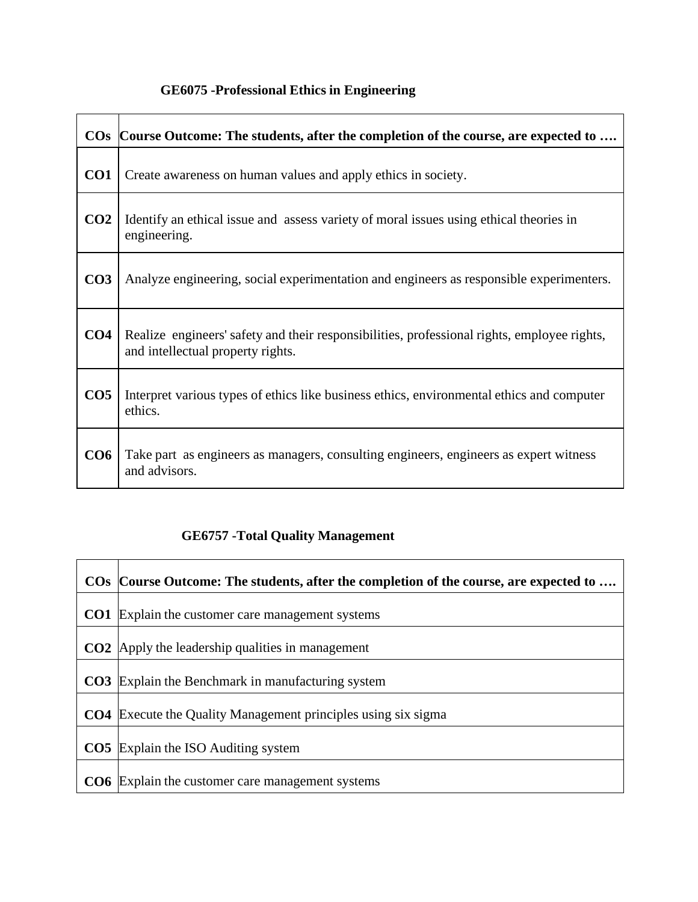# **GE6075 -Professional Ethics in Engineering**

|                 | COs Course Outcome: The students, after the completion of the course, are expected to                                            |
|-----------------|----------------------------------------------------------------------------------------------------------------------------------|
| CO1             | Create awareness on human values and apply ethics in society.                                                                    |
| CO <sub>2</sub> | Identify an ethical issue and assess variety of moral issues using ethical theories in<br>engineering.                           |
| CO <sub>3</sub> | Analyze engineering, social experimentation and engineers as responsible experimenters.                                          |
| CO <sub>4</sub> | Realize engineers' safety and their responsibilities, professional rights, employee rights,<br>and intellectual property rights. |
| CO <sub>5</sub> | Interpret various types of ethics like business ethics, environmental ethics and computer<br>ethics.                             |
| CO <sub>6</sub> | Take part as engineers as managers, consulting engineers, engineers as expert witness<br>and advisors.                           |

# **GE6757 -Total Quality Management**

|                 | COs Course Outcome: The students, after the completion of the course, are expected to |
|-----------------|---------------------------------------------------------------------------------------|
| CO1             | Explain the customer care management systems                                          |
|                 | <b>CO2</b> Apply the leadership qualities in management                               |
|                 | <b>CO3</b> Explain the Benchmark in manufacturing system                              |
| CO <sub>4</sub> | Execute the Quality Management principles using six sigma                             |
|                 | <b>CO5</b> Explain the ISO Auditing system                                            |
|                 | <b>CO6</b> Explain the customer care management systems                               |